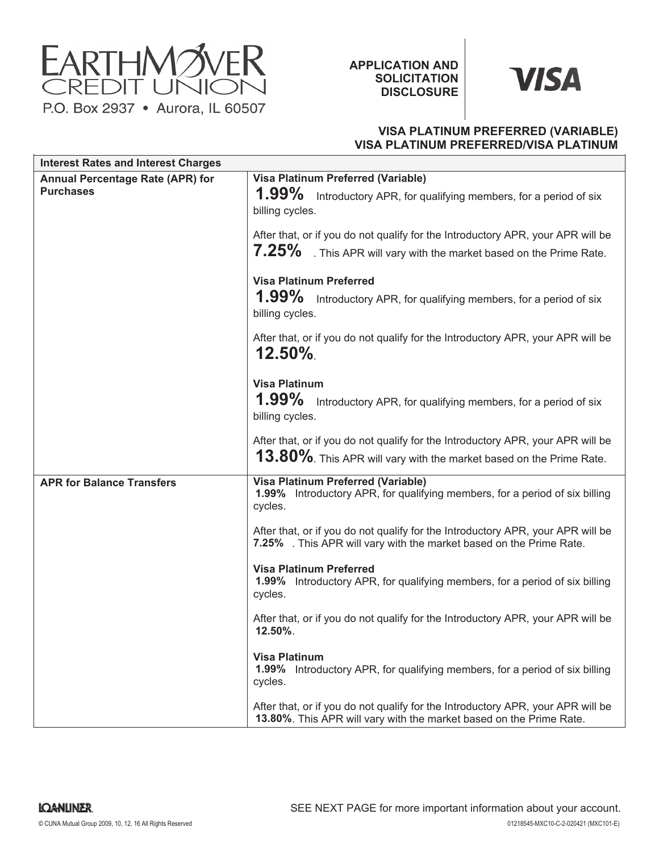

**APPLICATION AND SOLICITATION DISCLOSURE**



# **VISA PLATINUM PREFERRED (VARIABLE) VISA PLATINUM PREFERRED/VISA PLATINUM**

| <b>Interest Rates and Interest Charges</b>                  |                                                                                                                                                              |
|-------------------------------------------------------------|--------------------------------------------------------------------------------------------------------------------------------------------------------------|
| <b>Annual Percentage Rate (APR) for</b><br><b>Purchases</b> | <b>Visa Platinum Preferred (Variable)</b><br>1.99%<br>Introductory APR, for qualifying members, for a period of six<br>billing cycles.                       |
|                                                             | After that, or if you do not qualify for the Introductory APR, your APR will be<br>$7.25\%$<br>. This APR will vary with the market based on the Prime Rate. |
|                                                             | <b>Visa Platinum Preferred</b><br>$1.99\%$<br>Introductory APR, for qualifying members, for a period of six<br>billing cycles.                               |
|                                                             | After that, or if you do not qualify for the Introductory APR, your APR will be<br>$12.50\%$                                                                 |
|                                                             | <b>Visa Platinum</b><br>$1.99\%$<br>Introductory APR, for qualifying members, for a period of six<br>billing cycles.                                         |
|                                                             | After that, or if you do not qualify for the Introductory APR, your APR will be<br>13.80%. This APR will vary with the market based on the Prime Rate.       |
| <b>APR for Balance Transfers</b>                            | <b>Visa Platinum Preferred (Variable)</b><br>1.99% Introductory APR, for qualifying members, for a period of six billing<br>cycles.                          |
|                                                             | After that, or if you do not qualify for the Introductory APR, your APR will be<br>7.25% . This APR will vary with the market based on the Prime Rate.       |
|                                                             | <b>Visa Platinum Preferred</b><br><b>1.99%</b> Introductory APR, for qualifying members, for a period of six billing<br>cycles.                              |
|                                                             | After that, or if you do not qualify for the Introductory APR, your APR will be<br>12.50%.                                                                   |
|                                                             | <b>Visa Platinum</b><br><b>1.99%</b> Introductory APR, for qualifying members, for a period of six billing<br>cycles.                                        |
|                                                             | After that, or if you do not qualify for the Introductory APR, your APR will be<br>13.80%. This APR will vary with the market based on the Prime Rate.       |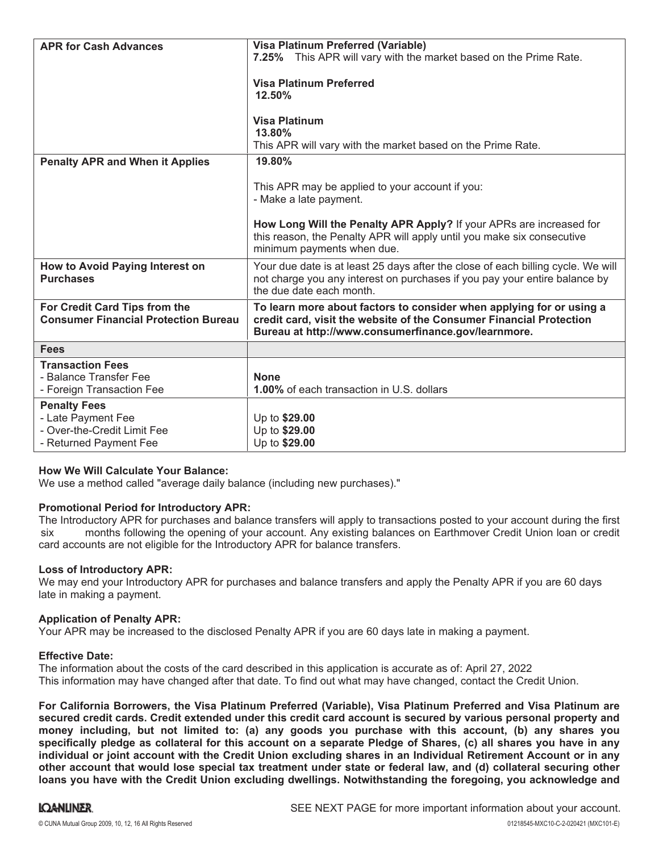| <b>APR for Cash Advances</b>                                                                       | Visa Platinum Preferred (Variable)<br>7.25% This APR will vary with the market based on the Prime Rate.<br><b>Visa Platinum Preferred</b><br>12.50%<br><b>Visa Platinum</b><br>13.80%<br>This APR will vary with the market based on the Prime Rate.               |
|----------------------------------------------------------------------------------------------------|--------------------------------------------------------------------------------------------------------------------------------------------------------------------------------------------------------------------------------------------------------------------|
| <b>Penalty APR and When it Applies</b>                                                             | 19.80%<br>This APR may be applied to your account if you:<br>- Make a late payment.<br>How Long Will the Penalty APR Apply? If your APRs are increased for<br>this reason, the Penalty APR will apply until you make six consecutive<br>minimum payments when due. |
| How to Avoid Paying Interest on<br><b>Purchases</b>                                                | Your due date is at least 25 days after the close of each billing cycle. We will<br>not charge you any interest on purchases if you pay your entire balance by<br>the due date each month.                                                                         |
| For Credit Card Tips from the<br><b>Consumer Financial Protection Bureau</b>                       | To learn more about factors to consider when applying for or using a<br>credit card, visit the website of the Consumer Financial Protection<br>Bureau at http://www.consumerfinance.gov/learnmore.                                                                 |
| <b>Fees</b>                                                                                        |                                                                                                                                                                                                                                                                    |
| <b>Transaction Fees</b><br>- Balance Transfer Fee<br>- Foreign Transaction Fee                     | <b>None</b><br>1.00% of each transaction in U.S. dollars                                                                                                                                                                                                           |
| <b>Penalty Fees</b><br>- Late Payment Fee<br>- Over-the-Credit Limit Fee<br>- Returned Payment Fee | Up to \$29.00<br>Up to \$29.00<br>Up to \$29.00                                                                                                                                                                                                                    |

## **How We Will Calculate Your Balance:**

We use a method called "average daily balance (including new purchases)."

### **Promotional Period for Introductory APR:**

The Introductory APR for purchases and balance transfers will apply to transactions posted to your account during the first months following the opening of your account. Any existing balances on Earthmover Credit Union loan or credit card accounts are not eligible for the Introductory APR for balance transfers. six

### **Loss of Introductory APR:**

We may end your Introductory APR for purchases and balance transfers and apply the Penalty APR if you are 60 days late in making a payment.

### **Application of Penalty APR:**

Your APR may be increased to the disclosed Penalty APR if you are 60 days late in making a payment.

### **Effective Date:**

The information about the costs of the card described in this application is accurate as of: April 27, 2022This information may have changed after that date. To find out what may have changed, contact the Credit Union.

**For California Borrowers, the Visa Platinum Preferred (Variable), Visa Platinum Preferred and Visa Platinum are secured credit cards. Credit extended under this credit card account is secured by various personal property and money including, but not limited to: (a) any goods you purchase with this account, (b) any shares you specifically pledge as collateral for this account on a separate Pledge of Shares, (c) all shares you have in any individual or joint account with the Credit Union excluding shares in an Individual Retirement Account or in any other account that would lose special tax treatment under state or federal law, and (d) collateral securing other loans you have with the Credit Union excluding dwellings. Notwithstanding the foregoing, you acknowledge and**